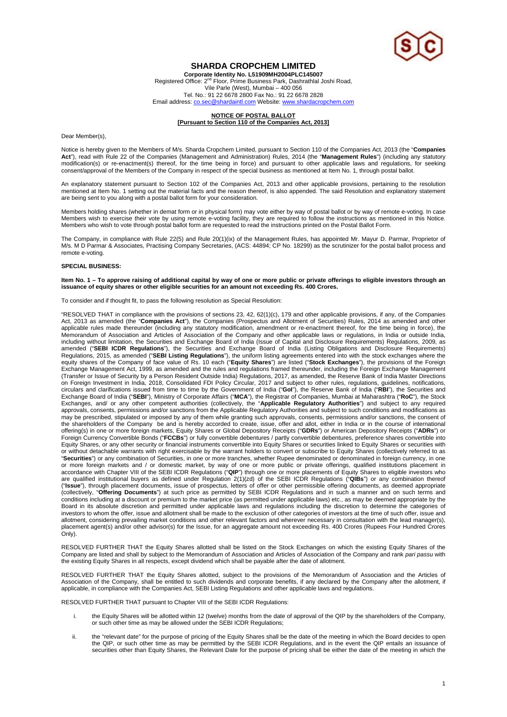

# **SHARDA CROPCHEM LIMITED**

**Corporate Identity No. L51909MH2004PLC145007**  Registered Office: 2<sup>nd</sup> Floor, Prime Business Park, Dashrathlal Joshi Road, Vile Parle (West), Mumbai – 400 056 Tel. No.: 91 22 6678 2800 Fax No.: 91 22 6678 2828 Email address: co.sec@shardaintl.com Website: www.shardacropchem.com

## **NOTICE OF POSTAL BALLOT [Pursuant to Section 110 of the Companies Act, 2013]**

Dear Member(s),

Notice is hereby given to the Members of M/s. Sharda Cropchem Limited, pursuant to Section 110 of the Companies Act, 2013 (the "**Companies Act**"), read with Rule 22 of the Companies (Management and Administration) Rules, 2014 (the "**Management Rules**") (including any statutory modification(s) or re-enactment(s) thereof, for the time being in force) and pursuant to other applicable laws and regulations, for seeking consent/approval of the Members of the Company in respect of the special business as mentioned at Item No. 1, through postal ballot.

An explanatory statement pursuant to Section 102 of the Companies Act, 2013 and other applicable provisions, pertaining to the resolution mentioned at Item No. 1 setting out the material facts and the reason thereof, is also appended. The said Resolution and explanatory statement are being sent to you along with a postal ballot form for your consideration.

Members holding shares (whether in demat form or in physical form) may vote either by way of postal ballot or by way of remote e-voting. In case Members wish to exercise their vote by using remote e-voting facility, they are required to follow the instructions as mentioned in this Notice. Members who wish to vote through postal ballot form are requested to read the instructions printed on the Postal Ballot Form.

The Company, in compliance with Rule 22(5) and Rule 20(1)(ix) of the Management Rules, has appointed Mr. Mayur D. Parmar, Proprietor of M/s. M D Parmar & Associates, Practising Company Secretaries, (ACS: 44894; CP No. 18299) as the scrutinizer for the postal ballot process and remote e-voting.

#### **SPECIAL BUSINESS:**

#### **Item No. 1 – To approve raising of additional capital by way of one or more public or private offerings to eligible investors through an issuance of equity shares or other eligible securities for an amount not exceeding Rs. 400 Crores.**

To consider and if thought fit, to pass the following resolution as Special Resolution:

"RESOLVED THAT in compliance with the provisions of sections 23, 42, 62(1)(c), 179 and other applicable provisions, if any, of the Companies Act, 2013 as amended (the "**Companies Act**"), the Companies (Prospectus and Allotment of Securities) Rules, 2014 as amended and other applicable rules made thereunder (including any statutory modification, amendment or re-enactment thereof, for the time being in force), the Memorandum of Association and Articles of Association of the Company and other applicable laws or regulations, in India or outside India, including without limitation, the Securities and Exchange Board of India (Issue of Capital and Disclosure Requirements) Regulations, 2009, as amended ("**SEBI ICDR Regulations**"), the Securities and Exchange Board of India (Listing Obligations and Disclosure Requirements) Regulations, 2015, as amended ("**SEBI Listing Regulations**"), the uniform listing agreements entered into with the stock exchanges where the equity shares of the Company of face value of Rs. 10 each ("**Equity Shares**") are listed ("**Stock Exchanges**"), the provisions of the Foreign Exchange Management Act, 1999, as amended and the rules and regulations framed thereunder, including the Foreign Exchange Management (Transfer or Issue of Security by a Person Resident Outside India) Regulations, 2017, as amended, the Reserve Bank of India Master Directions on Foreign Investment in India, 2018, Consolidated FDI Policy Circular, 2017 and subject to other rules, regulations, guidelines, notifications, circulars and clarifications issued from time to time by the Government of India ("**GoI**"), the Reserve Bank of India ("**RBI**"), the Securities and Exchange Board of India ("**SEBI**"), Ministry of Corporate Affairs ("**MCA**"), the Registrar of Companies, Mumbai at Maharashtra ("**RoC**"), the Stock Exchanges, and/ or any other competent authorities (collectively, the "**Applicable Regulatory Authorities**") and subject to any required approvals, consents, permissions and/or sanctions from the Applicable Regulatory Authorities and subject to such conditions and modifications as may be prescribed, stipulated or imposed by any of them while granting such approvals, consents, permissions and/or sanctions, the consent of the shareholders of the Company be and is hereby accorded to create, issue, offer and allot, either in India or in the course of international offering(s) in one or more foreign markets, Equity Shares or Global Depository Receipts ("**GDRs**") or American Depository Receipts ("**ADRs**") or Foreign Currency Convertible Bonds ("**FCCBs**") or fully convertible debentures / partly convertible debentures, preference shares convertible into Equity Shares, or any other security or financial instruments convertible into Equity Shares or securities linked to Equity Shares or securities with or without detachable warrants with right exercisable by the warrant holders to convert or subscribe to Equity Shares (collectively referred to as "**Securities**") or any combination of Securities, in one or more tranches, whether Rupee denominated or denominated in foreign currency, in one or more foreign markets and / or domestic market, by way of one or more public or private offerings, qualified institutions placement in accordance with Chapter VIII of the SEBI ICDR Regulations ("**QIP**") through one or more placements of Equity Shares to eligible investors who are qualified institutional buyers as defined under Regulation 2(1)(zd) of the SEBI ICDR Regulations ("**QIBs**") or any combination thereof ("**Issue**"), through placement documents, issue of prospectus, letters of offer or other permissible offering documents, as deemed appropriate (collectively, "**Offering Documents**") at such price as permitted by SEBI ICDR Regulations and in such a manner and on such terms and conditions including at a discount or premium to the market price (as permitted under applicable laws) etc., as may be deemed appropriate by the Board in its absolute discretion and permitted under applicable laws and regulations including the discretion to determine the categories of investors to whom the offer, issue and allotment shall be made to the exclusion of other categories of investors at the time of such offer, issue and allotment, considering prevailing market conditions and other relevant factors and wherever necessary in consultation with the lead manager(s), placement agent(s) and/or other advisor(s) for the Issue, for an aggregate amount not exceeding Rs. 400 Crores (Rupees Four Hundred Crores Only).

RESOLVED FURTHER THAT the Equity Shares allotted shall be listed on the Stock Exchanges on which the existing Equity Shares of the Company are listed and shall by subject to the Memorandum of Association and Articles of Association of the Company and rank *pari passu* with the existing Equity Shares in all respects, except dividend which shall be payable after the date of allotment.

RESOLVED FURTHER THAT the Equity Shares allotted, subject to the provisions of the Memorandum of Association and the Articles of Association of the Company, shall be entitled to such dividends and corporate benefits, if any declared by the Company after the allotment, if applicable, in compliance with the Companies Act, SEBI Listing Regulations and other applicable laws and regulations.

RESOLVED FURTHER THAT pursuant to Chapter VIII of the SEBI ICDR Regulations:

- i. the Equity Shares will be allotted within 12 (twelve) months from the date of approval of the QIP by the shareholders of the Company, or such other time as may be allowed under the SEBI ICDR Regulations;
- ii. the "relevant date" for the purpose of pricing of the Equity Shares shall be the date of the meeting in which the Board decides to open the QIP, or such other time as may be permitted by the SEBI ICDR Requlations, and in the event the QIP entails an issuance of securities other than Equity Shares, the Relevant Date for the purpose of pricing shall be either the date of the meeting in which the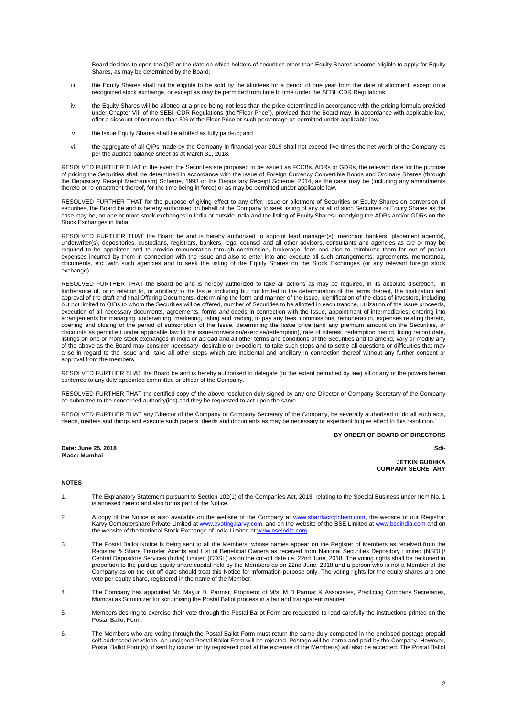Board decides to open the QIP or the date on which holders of securities other than Equity Shares become eligible to apply for Equity Shares, as may be determined by the Board;

- iii. the Equity Shares shall not be eligible to be sold by the allottees for a period of one year from the date of allotment, except on a recognized stock exchange, or except as may be permitted from time to time under the SEBI ICDR Regulations;
- iv. the Equity Shares will be allotted at a price being not less than the price determined in accordance with the pricing formula provided under Chapter VIII of the SEBI ICDR Regulations (the "Floor Price"), provided that the Board may, in accordance with applicable law, offer a discount of not more than 5% of the Floor Price or such percentage as permitted under applicable law;
- v. the Issue Equity Shares shall be allotted as fully paid-up; and
- vi. the aggregate of all QIPs made by the Company in financial year 2019 shall not exceed five times the net worth of the Company as per the audited balance sheet as at March 31, 2018.

RESOLVED FURTHER THAT in the event the Securities are proposed to be issued as FCCBs, ADRs or GDRs, the relevant date for the purpose of pricing the Securities shall be determined in accordance with the Issue of Foreign Currency Convertible Bonds and Ordinary Shares (through the Depositary Receipt Mechanism) Scheme, 1993 or the Depositary Receipt Scheme, 2014, as the case may be (including any amendments thereto or re-enactment thereof, for the time being in force) or as may be permitted under applicable law.

RESOLVED FURTHER THAT for the purpose of giving effect to any offer, issue or allotment of Securities or Equity Shares on conversion of securities, the Board be and is hereby authorised on behalf of the Company to seek listing of any or all of such Securities or Equity Shares as the case may be, on one or more stock exchanges in India or outside India and the listing of Equity Shares underlying the ADRs and/or GDRs on the Stock Exchanges in India.

RESOLVED FURTHER THAT the Board be and is hereby authorized to appoint lead manager(s), merchant bankers, placement agent(s), underwriter(s), depositories, custodians, registrars, bankers, legal counsel and all other advisors, consultants and agencies as are or may be required to be appointed and to provide remuneration through commission, brokerage, fees and also to reimburse them for out of pocket expenses incurred by them in connection with the Issue and also to enter into and execute all such arrangements, agreements, memoranda, documents, etc. with such agencies and to seek the listing of the Equity Shares on the Stock Exchanges (or any relevant foreign stock exchange).

RESOLVED FURTHER THAT the Board be and is hereby authorized to take all actions as may be required, in its absolute discretion, in furtherance of, or in relation to, or ancillary to the Issue, including but not limited to the determination of the terms thereof, the finalization and approval of the draft and final Offering Documents, determining the form and manner of the Issue, identification of the class of investors, including but not limited to QIBs to whom the Securities will be offered, number of Securities to be allotted in each tranche, utilization of the Issue proceeds, execution of all necessary documents, agreements, forms and deeds in connection with the Issue, appointment of intermediaries, entering into arrangements for managing, underwriting, marketing, listing and trading, to pay any fees, commissions, remuneration, expenses relating thereto, opening and closing of the period of subscription of the Issue, determining the Issue price (and any premium amount on the Securities, or discounts as permitted under applicable law to the issue/conversion/exercise/redemption), rate of interest, redemption period, fixing record date, listings on one or more stock exchanges in India or abroad and all other terms and conditions of the Securities and to amend, vary or modify any of the above as the Board may consider necessary, desirable or expedient, to take such steps and to settle all questions or difficulties that may arise in regard to the Issue and take all other steps which are incidental and ancillary in connection thereof without any further consent or approval from the members.

RESOLVED FURTHER THAT the Board be and is hereby authorised to delegate (to the extent permitted by law) all or any of the powers herein conferred to any duly appointed committee or officer of the Company.

RESOLVED FURTHER THAT the certified copy of the above resolution duly signed by any one Director or Company Secretary of the Company be submitted to the concerned authority(ies) and they be requested to act upon the same.

RESOLVED FURTHER THAT any Director of the Company or Company Secretary of the Company, be severally authorised to do all such acts, deeds, matters and things and execute such papers, deeds and documents as may be necessary or expedient to give effect to this resolution."

**BY ORDER OF BOARD OF DIRECTORS** 

**Sd/-**  $S$ d/-

**Date: June 25, 2018 Place: Mumbai** 

**JETKIN GUDHKA COMPANY SECRETARY** 

## **NOTES**

- 1. The Explanatory Statement pursuant to Section 102(1) of the Companies Act, 2013, relating to the Special Business under Item No. 1 is annexed hereto and also forms part of the Notice.
- 2. A copy of the Notice is also available on the website of the Company at www.shardacropchem.com, the website of our Registrar Karvy Computershare Private Limited at www.evoting.karvy.com, and on the website of the BSE Limited at www.bseindia.com and on the website of the National Stock Exchange of India Limited at www.nseindia.com.
- 3. The Postal Ballot Notice is being sent to all the Members, whose names appear on the Register of Members as received from the Registrar & Share Transfer Agents and List of Beneficial Owners as received from National Securities Depository Limited (NSDL)/ Central Depository Services (India) Limited (CDSL) as on the cut-off date i.e. 22nd June, 2018. The voting rights shall be reckoned in proportion to the paid-up equity share capital held by the Members as on 22nd June, 2018 and a person who is not a Member of the Company as on the cut-off date should treat this Notice for information purpose only. The voting rights for the equity shares are one vote per equity share, registered in the name of the Member.
- 4. The Company has appointed Mr. Mayur D. Parmar, Proprietor of M/s. M D Parmar & Associates, Practicing Company Secretaries, Mumbai as Scrutinizer for scrutinising the Postal Ballot process in a fair and transparent manner.
- 5. Members desiring to exercise their vote through the Postal Ballot Form are requested to read carefully the instructions printed on the Postal Ballot Form.
- 6. The Members who are voting through the Postal Ballot Form must return the same duly completed in the enclosed postage prepaid self-addressed envelope. An unsigned Postal Ballot Form will be rejected. Postage will be borne and paid by the Company. However, Postal Ballot Form(s), if sent by courier or by registered post at the expense of the Member(s) will also be accepted. The Postal Ballot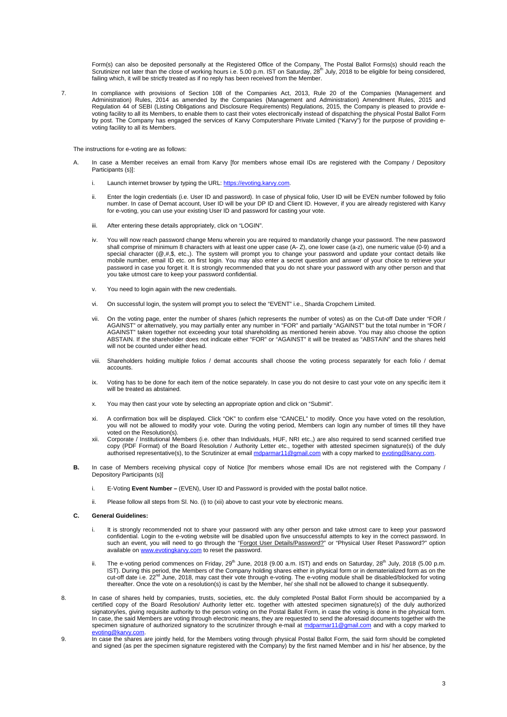Form(s) can also be deposited personally at the Registered Office of the Company. The Postal Ballot Forms(s) should reach the<br>Scrutinizer not later than the close of working hours i.e. 5.00 p.m. IST on Saturday, 28<sup>th</sup> Jul failing which, it will be strictly treated as if no reply has been received from the Member.

7. In compliance with provisions of Section 108 of the Companies Act, 2013, Rule 20 of the Companies (Management and Administration) Rules, 2014 as amended by the Companies (Management and Administration) Amendment Rules, 2015 and Regulation 44 of SEBI (Listing Obligations and Disclosure Requirements) Regulations, 2015, the Company is pleased to provide evoting facility to all its Members, to enable them to cast their votes electronically instead of dispatching the physical Postal Ballot Form by post. The Company has engaged the services of Karvy Computershare Private Limited ("Karvy") for the purpose of providing evoting facility to all its Members.

The instructions for e-voting are as follows:

- In case a Member receives an email from Karvy [for members whose email IDs are registered with the Company / Depository Participants (s)]:
	- i. Launch internet browser by typing the URL: https://evoting.karvy.com.
	- ii. Enter the login credentials (i.e. User ID and password). In case of physical folio, User ID will be EVEN number followed by folio number. In case of Demat account, User ID will be your DP ID and Client ID. However, if you are already registered with Karvy for e-voting, you can use your existing User ID and password for casting your vote.
	- iii. After entering these details appropriately, click on "LOGIN".
	- iv. You will now reach password change Menu wherein you are required to mandatorily change your password. The new password shall comprise of minimum 8 characters with at least one upper case (A- Z), one lower case (a-z), one numeric value (0-9) and a special character (@,#,\$, etc.,). The system will prompt you to change your password and update your contact details like mobile number, email ID etc. on first login. You may also enter a secret question and answer of your choice to retrieve your password in case you forget it. It is strongly recommended that you do not share your password with any other person and that you take utmost care to keep your password confidential.
	- v. You need to login again with the new credentials.
	- vi. On successful login, the system will prompt you to select the "EVENT" i.e., Sharda Cropchem Limited.
	- vii. On the voting page, enter the number of shares (which represents the number of votes) as on the Cut-off Date under "FOR / AGAINST" or alternatively, you may partially enter any number in "FOR" and partially "AGAINST" but the total number in "FOR / AGAINST" taken together not exceeding your total shareholding as mentioned herein above. You may also choose the option ABSTAIN. If the shareholder does not indicate either "FOR" or "AGAINST" it will be treated as "ABSTAIN" and the shares held will not be counted under either head.
	- viii. Shareholders holding multiple folios / demat accounts shall choose the voting process separately for each folio / demat accounts.
	- ix. Voting has to be done for each item of the notice separately. In case you do not desire to cast your vote on any specific item it will be treated as abstained.
	- x. You may then cast your vote by selecting an appropriate option and click on "Submit".
	- xi. A confirmation box will be displayed. Click "OK" to confirm else "CANCEL" to modify. Once you have voted on the resolution, you will not be allowed to modify your vote. During the voting period, Members can login any number of times till they have voted on the Resolution(s).
	- xii. Corporate / Institutional Members (i.e. other than Individuals, HUF, NRI etc.,) are also required to send scanned certified true copy (PDF Format) of the Board Resolution / Authority Letter etc., together with attested specimen signature(s) of the duly authorised representative(s), to the Scrutinizer at email mdparmar11@gmail.com with a copy marked to evoting@k
- **B.** In case of Members receiving physical copy of Notice [for members whose email IDs are not registered with the Company / Depository Participants (s)]
	- i. E-Voting **Event Number** (EVEN), User ID and Password is provided with the postal ballot notice.
	- Please follow all steps from Sl. No. (i) to (xii) above to cast your vote by electronic means.

## **C. General Guidelines:**

- i. It is strongly recommended not to share your password with any other person and take utmost care to keep your password confidential. Login to the e-voting website will be disabled upon five unsuccessful attempts to key in the correct password. In such an event, you will need to go through the "Forgot User Details/Password?" or "Physical User Reset Password?" option available on www.evotingkarvy.com to reset the password.
- ii. The e-voting period commences on Friday,  $29<sup>th</sup>$  June, 2018 (9.00 a.m. IST) and ends on Saturday,  $28<sup>th</sup>$  July, 2018 (5.00 p.m. IST). During this period, the Members of the Company holding shares either in physical form or in dematerialized form as on the<br>cut-off date i.e. 22<sup>nd</sup> June, 2018, may cast their vote through e-voting. The e-voting module thereafter. Once the vote on a resolution(s) is cast by the Member, he/ she shall not be allowed to change it subsequently.
- 8. In case of shares held by companies, trusts, societies, etc. the duly completed Postal Ballot Form should be accompanied by a certified copy of the Board Resolution/ Authority letter etc. together with attested specimen signature(s) of the duly authorized signatory/ies, giving requisite authority to the person voting on the Postal Ballot Form, in case the voting is done in the physical form. In case, the said Members are voting through electronic means, they are requested to send the aforesaid documents together with the specimen signature of authorized signatory to the scrutinizer through e-mail at mdparmar11@qmail.com and with a copy marked to evoting@karvy.com.
- 9. In case the shares are jointly held, for the Members voting through physical Postal Ballot Form, the said form should be completed and signed (as per the specimen signature registered with the Company) by the first named Member and in his/ her absence, by the